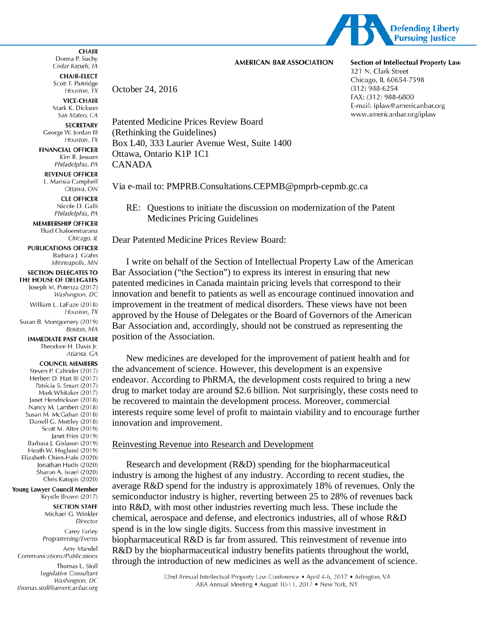

#### **AMERICAN BAR ASSOCIATION**

**CHAIR-ELECT** Scott F. Partridge October 24, 2016 Houston, TX

**VICE-CHAIR** Mark K. Dickson San Mateo, CA

**SECRETARY** George W. Jordan III Houston, TX

**FINANCIAL OFFICER** Kim R. Jessum Philadelphia, PA

**REVENUE OFFICER** L. Marisia Campbell Ottawa, ON

**CLE OFFICER** Nicole D. Galli Philadelphia, PA

**MEMBERSHIP OFFICER** Thad Chaloemtiarana Chicago, IL

**PUBLICATIONS OFFICER** Barbara J. Grahn Minneapolis, MN

# **SECTION DELEGATES TO**

THE HOUSE OF DELEGATES Joseph M. Potenza (2017) Washington, DC

William L. LaFuze (2018) Houston, TX

Susan B. Montgomery (2019) Boston, MA

#### **IMMEDIATE PAST CHAIR** Theodore H. Davis Jr.

Atlanta, GA

# **COUNCIL MEMBERS**

Steven P. Caltrider (2017) Herbert D. Hart III (2017) Patricia S. Smart (2017) Mark Whitaker (2017) Janet Hendrickson (2018) Nancy M. Lambert (2018) Susan M. McGahan (2018) Darrell G. Mottley (2018) Scott M. Alter (2019) Janet Fries (2019) Barbara J. Gislason (2019) Heath W. Hoglund (2019) Elizabeth Chien-Hale (2020) Jonathan Hudis (2020) Sharon A. Israel (2020) Chris Katopis (2020)

Young Lawyer Council Member Krystle Brown (2017)

> **SECTION STAFF** Michael G. Winkler Director

Carey Farley Programming/Events

Amy Mandel Communications/Publications

Thomas L. Stoll Legislative Consultant Washington, DC thomas.stoll@americanbar.org

Patented Medicine Prices Review Board (Rethinking the Guidelines) Box L40, 333 Laurier Avenue West, Suite 1400 Ottawa, Ontario K1P 1C1 CANADA

Via e-mail to: PMPRB.Consultations.CEPMB@pmprb-cepmb.gc.ca

RE: Questions to initiate the discussion on modernization of the Patent Medicines Pricing Guidelines

Dear Patented Medicine Prices Review Board:

I write on behalf of the Section of Intellectual Property Law of the American Bar Association ("the Section") to express its interest in ensuring that new patented medicines in Canada maintain pricing levels that correspond to their innovation and benefit to patients as well as encourage continued innovation and improvement in the treatment of medical disorders. These views have not been approved by the House of Delegates or the Board of Governors of the American Bar Association and, accordingly, should not be construed as representing the position of the Association.

New medicines are developed for the improvement of patient health and for the advancement of science. However, this development is an expensive endeavor. According to PhRMA, the development costs required to bring a new drug to market today are around \$2.6 billion. Not surprisingly, these costs need to be recovered to maintain the development process. Moreover, commercial interests require some level of profit to maintain viability and to encourage further innovation and improvement.

# Reinvesting Revenue into Research and Development

Research and development (R&D) spending for the biopharmaceutical industry is among the highest of any industry. According to recent studies, the average R&D spend for the industry is approximately 18% of revenues. Only the semiconductor industry is higher, reverting between 25 to 28% of revenues back into R&D, with most other industries reverting much less. These include the chemical, aerospace and defense, and electronics industries, all of whose R&D spend is in the low single digits. Success from this massive investment in biopharmaceutical R&D is far from assured. This reinvestment of revenue into R&D by the biopharmaceutical industry benefits patients throughout the world, through the introduction of new medicines as well as the advancement of science.

**Section of Intellectual Property Law** 321 N. Clark Street Chicago, IL 60654-7598  $(312)$  988-6254 FAX: (312) 988-6800 E-mail: iplaw@americanbar.org www.americanbar.org/iplaw

#### **CHAIR** Donna P. Suchy Cedar Rapids, IA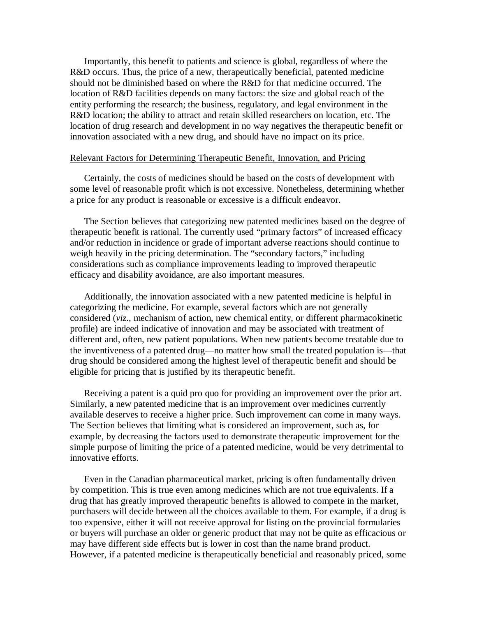Importantly, this benefit to patients and science is global, regardless of where the R&D occurs. Thus, the price of a new, therapeutically beneficial, patented medicine should not be diminished based on where the R&D for that medicine occurred. The location of R&D facilities depends on many factors: the size and global reach of the entity performing the research; the business, regulatory, and legal environment in the R&D location; the ability to attract and retain skilled researchers on location, etc. The location of drug research and development in no way negatives the therapeutic benefit or innovation associated with a new drug, and should have no impact on its price.

### Relevant Factors for Determining Therapeutic Benefit, Innovation, and Pricing

Certainly, the costs of medicines should be based on the costs of development with some level of reasonable profit which is not excessive. Nonetheless, determining whether a price for any product is reasonable or excessive is a difficult endeavor.

The Section believes that categorizing new patented medicines based on the degree of therapeutic benefit is rational. The currently used "primary factors" of increased efficacy and/or reduction in incidence or grade of important adverse reactions should continue to weigh heavily in the pricing determination. The "secondary factors," including considerations such as compliance improvements leading to improved therapeutic efficacy and disability avoidance, are also important measures.

Additionally, the innovation associated with a new patented medicine is helpful in categorizing the medicine. For example, several factors which are not generally considered (*viz*., mechanism of action, new chemical entity, or different pharmacokinetic profile) are indeed indicative of innovation and may be associated with treatment of different and, often, new patient populations. When new patients become treatable due to the inventiveness of a patented drug—no matter how small the treated population is—that drug should be considered among the highest level of therapeutic benefit and should be eligible for pricing that is justified by its therapeutic benefit.

Receiving a patent is a quid pro quo for providing an improvement over the prior art. Similarly, a new patented medicine that is an improvement over medicines currently available deserves to receive a higher price. Such improvement can come in many ways. The Section believes that limiting what is considered an improvement, such as, for example, by decreasing the factors used to demonstrate therapeutic improvement for the simple purpose of limiting the price of a patented medicine, would be very detrimental to innovative efforts.

Even in the Canadian pharmaceutical market, pricing is often fundamentally driven by competition. This is true even among medicines which are not true equivalents. If a drug that has greatly improved therapeutic benefits is allowed to compete in the market, purchasers will decide between all the choices available to them. For example, if a drug is too expensive, either it will not receive approval for listing on the provincial formularies or buyers will purchase an older or generic product that may not be quite as efficacious or may have different side effects but is lower in cost than the name brand product. However, if a patented medicine is therapeutically beneficial and reasonably priced, some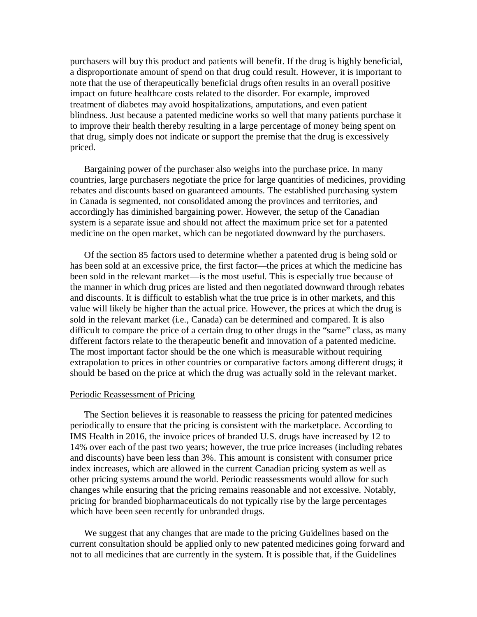purchasers will buy this product and patients will benefit. If the drug is highly beneficial, a disproportionate amount of spend on that drug could result. However, it is important to note that the use of therapeutically beneficial drugs often results in an overall positive impact on future healthcare costs related to the disorder. For example, improved treatment of diabetes may avoid hospitalizations, amputations, and even patient blindness. Just because a patented medicine works so well that many patients purchase it to improve their health thereby resulting in a large percentage of money being spent on that drug, simply does not indicate or support the premise that the drug is excessively priced.

Bargaining power of the purchaser also weighs into the purchase price. In many countries, large purchasers negotiate the price for large quantities of medicines, providing rebates and discounts based on guaranteed amounts. The established purchasing system in Canada is segmented, not consolidated among the provinces and territories, and accordingly has diminished bargaining power. However, the setup of the Canadian system is a separate issue and should not affect the maximum price set for a patented medicine on the open market, which can be negotiated downward by the purchasers.

Of the section 85 factors used to determine whether a patented drug is being sold or has been sold at an excessive price, the first factor—the prices at which the medicine has been sold in the relevant market—is the most useful. This is especially true because of the manner in which drug prices are listed and then negotiated downward through rebates and discounts. It is difficult to establish what the true price is in other markets, and this value will likely be higher than the actual price. However, the prices at which the drug is sold in the relevant market (i.e., Canada) can be determined and compared. It is also difficult to compare the price of a certain drug to other drugs in the "same" class, as many different factors relate to the therapeutic benefit and innovation of a patented medicine. The most important factor should be the one which is measurable without requiring extrapolation to prices in other countries or comparative factors among different drugs; it should be based on the price at which the drug was actually sold in the relevant market.

#### Periodic Reassessment of Pricing

The Section believes it is reasonable to reassess the pricing for patented medicines periodically to ensure that the pricing is consistent with the marketplace. According to IMS Health in 2016, the invoice prices of branded U.S. drugs have increased by 12 to 14% over each of the past two years; however, the true price increases (including rebates and discounts) have been less than 3%. This amount is consistent with consumer price index increases, which are allowed in the current Canadian pricing system as well as other pricing systems around the world. Periodic reassessments would allow for such changes while ensuring that the pricing remains reasonable and not excessive. Notably, pricing for branded biopharmaceuticals do not typically rise by the large percentages which have been seen recently for unbranded drugs.

We suggest that any changes that are made to the pricing Guidelines based on the current consultation should be applied only to new patented medicines going forward and not to all medicines that are currently in the system. It is possible that, if the Guidelines